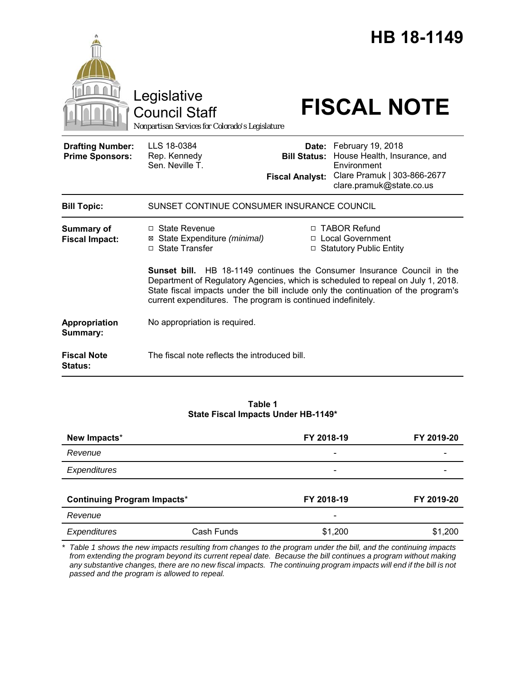|                                                   | Legislative<br>Council Staff<br>Nonpartisan Services for Colorado's Legislature                                                                                                                                                        |                                               | HB 18-1149<br><b>FISCAL NOTE</b>                                                                                                  |  |
|---------------------------------------------------|----------------------------------------------------------------------------------------------------------------------------------------------------------------------------------------------------------------------------------------|-----------------------------------------------|-----------------------------------------------------------------------------------------------------------------------------------|--|
| <b>Drafting Number:</b><br><b>Prime Sponsors:</b> | LLS 18-0384<br>Rep. Kennedy<br>Sen. Neville T.                                                                                                                                                                                         | <b>Bill Status:</b><br><b>Fiscal Analyst:</b> | Date: February 19, 2018<br>House Health, Insurance, and<br>Environment<br>Clare Pramuk   303-866-2677<br>clare.pramuk@state.co.us |  |
| <b>Bill Topic:</b>                                | SUNSET CONTINUE CONSUMER INSURANCE COUNCIL                                                                                                                                                                                             |                                               |                                                                                                                                   |  |
| <b>Summary of</b><br><b>Fiscal Impact:</b>        | $\Box$ State Revenue<br>⊠ State Expenditure (minimal)<br>□ State Transfer<br>Sunset bill.                                                                                                                                              |                                               | □ TABOR Refund<br>□ Local Government<br>□ Statutory Public Entity<br>HB 18-1149 continues the Consumer Insurance Council in the   |  |
|                                                   | Department of Regulatory Agencies, which is scheduled to repeal on July 1, 2018.<br>State fiscal impacts under the bill include only the continuation of the program's<br>current expenditures. The program is continued indefinitely. |                                               |                                                                                                                                   |  |
| Appropriation<br>Summary:                         | No appropriation is required.                                                                                                                                                                                                          |                                               |                                                                                                                                   |  |
| <b>Fiscal Note</b><br>Status:                     | The fiscal note reflects the introduced bill.                                                                                                                                                                                          |                                               |                                                                                                                                   |  |

**Table 1 State Fiscal Impacts Under HB-1149\***

| New Impacts*                       |            | FY 2018-19               | FY 2019-20 |
|------------------------------------|------------|--------------------------|------------|
| Revenue                            |            | $\qquad \qquad$          |            |
| Expenditures                       |            | $\overline{\phantom{0}}$ |            |
| <b>Continuing Program Impacts*</b> |            | FY 2018-19               | FY 2019-20 |
| Revenue                            |            | -                        |            |
| Expenditures                       | Cash Funds | \$1,200                  | \$1,200    |

*\* Table 1 shows the new impacts resulting from changes to the program under the bill, and the continuing impacts from extending the program beyond its current repeal date. Because the bill continues a program without making any substantive changes, there are no new fiscal impacts. The continuing program impacts will end if the bill is not passed and the program is allowed to repeal.*